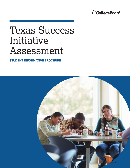

# Texas Success Initiative Assessment

**STUDENT INFORMATIVE BROCHURE** 

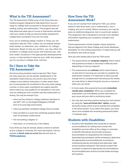#### **What Is the TSI Assessment?**

The TSI Assessment (TSIA) is part of the Texas Success Initiative program designed to help determine if you are ready for college-level coursework in the general areas of reading, writing, and mathematics. This program also will help determine what type of course or intervention will best meet your needs to help you become better prepared for college-level coursework if you are not ready.

 If you are an entering college student in Texas, you are enrolled in a college-level course that matches your skill required to take the TSIA—unless you are already exempt (read below)—to determine your readiness for collegelevel work. Based on how you perform, you may either be level and/or be placed in the appropriate developmental course or intervention to improve your skills and prepare you for success in college-level courses.

#### **Do I Have to Take the TSI Assessment?**

Not all incoming students need to take the TSIA. There are many ways you can be exempt. Qualifying for a TSI exemption means that you can enroll in any entry-level college course without restrictions. In other words, there are no prerequisites for enrollment in the entry-level college courses. In most cases, exemptions are subject specific, which means you may qualify for an exemption in one area such as reading but not in another area like mathematics or writing. You may be exempt if you:

- Have met the minimum college readiness standard on the SAT®, ACT, or the English III/Algebra II STAAR End-of-Course high school tests;
- § Have successfully completed college-level course(s);
- Have enrolled in a Level-One certificate program (fewer than 43 semester credit hours);
- § Are not seeking a degree; or
- § Have been, or currently are, in the military.

If you think you may be exempt, please contact an adviser at your college or university. For more information, visit our website at **[thecb.state.tx.us/tsi](http://www.thecb.state.tx.us/DE/TSI)** (See #2 and click on **[TSI/Exemptions](https://texreg.sos.state.tx.us/public/readtac$ext.TacPage?sl=R&app=9&p_dir=&p_rloc=&p_tloc=&p_ploc=&pg=1&p_tac=&ti=19&pt=1&ch=4&rl=54
)**).

#### **How Does the TSI Assessment Work?**

If you are not exempt from taking the TSIA, you will be asked to take three tests: one in mathematics, one in reading, and one in writing. Where necessary, you may be given an additional diagnostic test in a particular subject. This diagnostic test is designed to provide more detailed information regarding your academic strengths and weaknesses.

These assessments include multiple-choice questions that are aligned to the Texas College and Career Readiness Standards. For the writing assessment, it's likely that you will be asked to also write an essay.

Here are more details about how the TSIA works:

- § The assessments are **computer adaptive**, which means that questions increase or decrease in difficulty level depending on how you respond.
- § The assessments are **untimed**, which means there is no time limit on how long you can take to complete the assessment; however, it is important to allow yourself enough time to complete each test because the results are a key factor in determining the course or courses in which you can enroll.
- § In most cases, this assessment provides **immediate results upon completion**. When you complete the assessment, you immediately receive information on your score and your skill or proficiency levels.
- § You may start and stop anytime during your test session by using the **"save and finish later" option**, except during the essay, which must be started and completed in the same session. If you select this option, you must return and complete the remaining assessment within 13 calendar days.

#### **Students with Disabilities**

§ Students with disabilities who would like to request accommodations for testing must contact the disabilities services office at the college or university to identify themselves and provide necessary documentation as requested by the institution. Submitted documentation will be reviewed to determine the appropriate accommodation(s), according to institutional policies and federal and state laws. High school students taking the TSIA should contact their counselor to determine appropriate accommodations. Accommodated test versions include braille and largeprint options.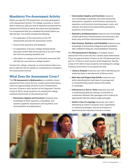# **Mandatory Pre-Assessment Activity**

Before you take the TSI Assessment, you must participate in a Pre-Assessment Activity. The college, university, or school district where you take your test is required to provide the Pre-Assessment Activity, as well as document your participation. It is a requirement that you complete this activity before you take the test. The activity includes the following:

- An explanation of the importance of the TSI Assessment and how the assessment works;
- **Practice test questions and feedback:**
- **An explanation of all your college developmental** education and/or high school options if you don't meet the minimum passing standard; and
- § Information on campus and community resources that will help you succeed as a college student.

Contact the college, university, or school district where you plan to take the test for details on completing the mandatory Pre-Assessment Activity.

#### **What Does the Assessment Cover?**

The **TSI Assessment in Mathematics** is a multiple-choice assessment that covers the four content areas listed below. There are approximately 20 items on the TSI placement test and 10 items in each section of the Diagnostic Test (for a total of 40) for those students not meeting the college readiness benchmark on the placement test.

**Elementary Algebra and Functions** measures your knowledge of linear equations, inequalities, and systems; algebraic expressions and equations; and word problems and applications.

- § **Intermediate Algebra and Functions** measures your knowledge of quadratic and other polynomial expressions, equations, and functions; expressions, equations, and functions involving powers, roots, and radicals; and rational and exponential expressions, equations, and functions.
- § **Geometry and Measurement** measures your knowledge of plane geometry; transformations and symmetry; and linear, area, and three-dimensional measurements.
- § **Data Analysis, Statistics, and Probability** measures your knowledge of interpreting categorical and quantitative data, statistical measures, and probabilistic reasoning.

The **TSI Assessment in Reading** is a multiple-choice assessment that covers the four content areas listed below. There are approximately 24 items on the TSI placement test and 10–12 items in each section of the Diagnostic Test (for a total of 40–48) for those students not meeting the college readiness benchmark on the placement test.

- **Exterary Analysis** measures your skill in identifying and analyzing ideas in and elements of literary texts.
- **Main Idea and Supporting Details** measures your skill in identifying the main idea of a passage and in comprehending explicit textual information in a passage.
- **Inferences in a Text or Texts** measures your skill in synthesizing ideas by making a connection or comparison between two passages and in making an appropriate inference about single passages.
- **E** Author's Use of Language measures your skill in identifying an author's purpose, tone, organization or rhetorical strategies, and use of evidence in determining the meaning of words in context.